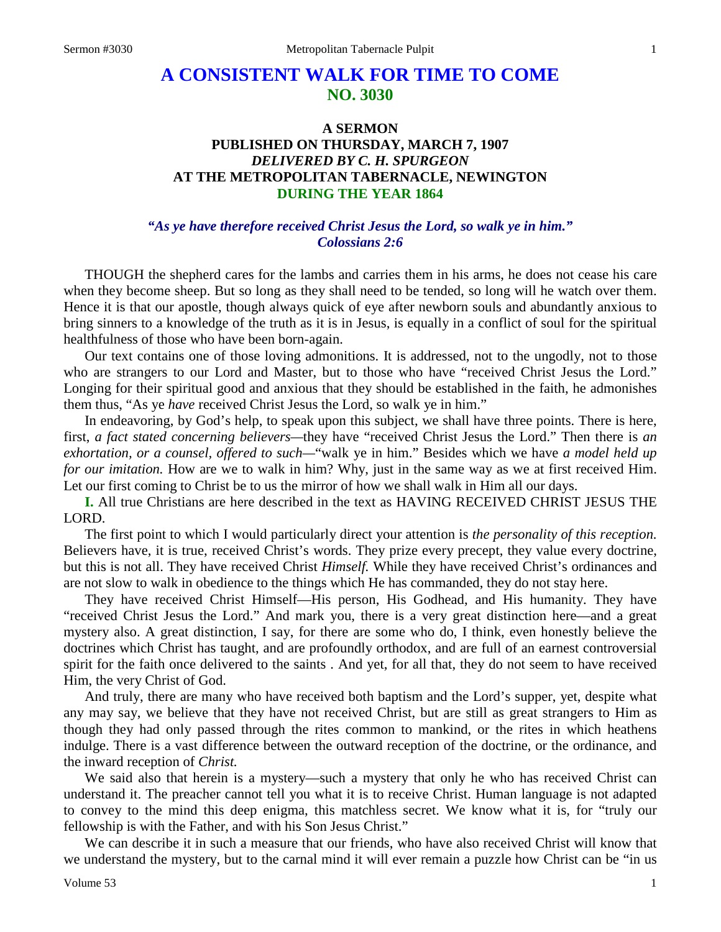# **A CONSISTENT WALK FOR TIME TO COME NO. 3030**

## **A SERMON PUBLISHED ON THURSDAY, MARCH 7, 1907** *DELIVERED BY C. H. SPURGEON* **AT THE METROPOLITAN TABERNACLE, NEWINGTON DURING THE YEAR 1864**

## *"As ye have therefore received Christ Jesus the Lord, so walk ye in him." Colossians 2:6*

THOUGH the shepherd cares for the lambs and carries them in his arms, he does not cease his care when they become sheep. But so long as they shall need to be tended, so long will he watch over them. Hence it is that our apostle, though always quick of eye after newborn souls and abundantly anxious to bring sinners to a knowledge of the truth as it is in Jesus, is equally in a conflict of soul for the spiritual healthfulness of those who have been born-again.

Our text contains one of those loving admonitions. It is addressed, not to the ungodly, not to those who are strangers to our Lord and Master, but to those who have "received Christ Jesus the Lord." Longing for their spiritual good and anxious that they should be established in the faith, he admonishes them thus, "As ye *have* received Christ Jesus the Lord, so walk ye in him."

In endeavoring, by God's help, to speak upon this subject, we shall have three points. There is here, first, *a fact stated concerning believers—*they have "received Christ Jesus the Lord." Then there is *an exhortation, or a counsel, offered to such—*"walk ye in him." Besides which we have *a model held up for our imitation.* How are we to walk in him? Why, just in the same way as we at first received Him. Let our first coming to Christ be to us the mirror of how we shall walk in Him all our days.

**I.** All true Christians are here described in the text as HAVING RECEIVED CHRIST JESUS THE LORD.

The first point to which I would particularly direct your attention is *the personality of this reception.*  Believers have, it is true, received Christ's words. They prize every precept, they value every doctrine, but this is not all. They have received Christ *Himself.* While they have received Christ's ordinances and are not slow to walk in obedience to the things which He has commanded, they do not stay here.

They have received Christ Himself—His person, His Godhead, and His humanity. They have "received Christ Jesus the Lord." And mark you, there is a very great distinction here—and a great mystery also. A great distinction, I say, for there are some who do, I think, even honestly believe the doctrines which Christ has taught, and are profoundly orthodox, and are full of an earnest controversial spirit for the faith once delivered to the saints . And yet, for all that, they do not seem to have received Him, the very Christ of God.

And truly, there are many who have received both baptism and the Lord's supper, yet, despite what any may say, we believe that they have not received Christ, but are still as great strangers to Him as though they had only passed through the rites common to mankind, or the rites in which heathens indulge. There is a vast difference between the outward reception of the doctrine, or the ordinance, and the inward reception of *Christ.* 

We said also that herein is a mystery—such a mystery that only he who has received Christ can understand it. The preacher cannot tell you what it is to receive Christ. Human language is not adapted to convey to the mind this deep enigma, this matchless secret. We know what it is, for "truly our fellowship is with the Father, and with his Son Jesus Christ."

We can describe it in such a measure that our friends, who have also received Christ will know that we understand the mystery, but to the carnal mind it will ever remain a puzzle how Christ can be "in us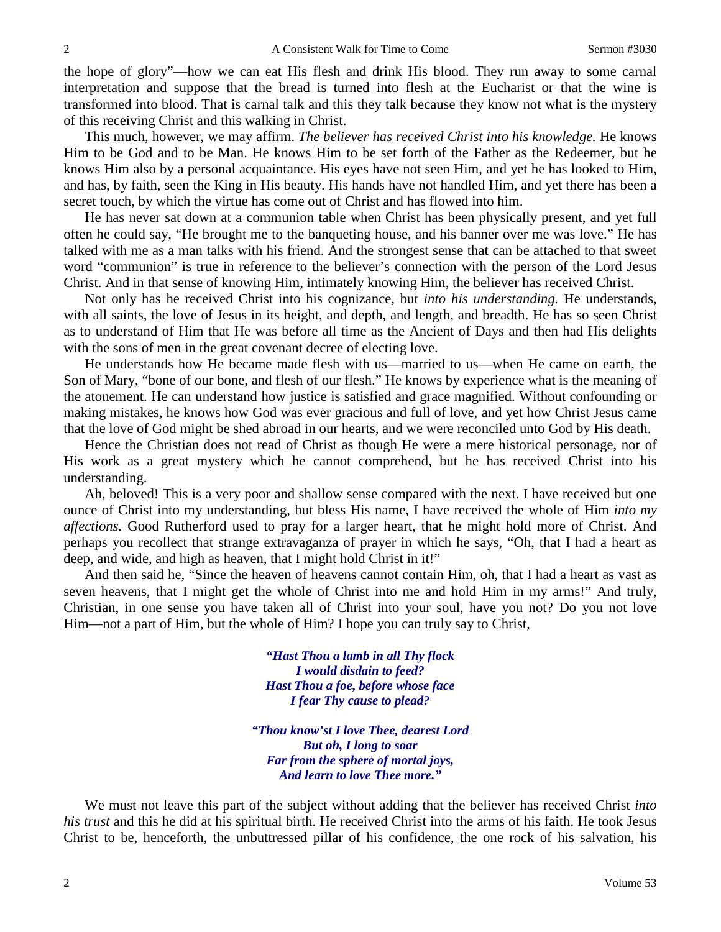the hope of glory"—how we can eat His flesh and drink His blood. They run away to some carnal interpretation and suppose that the bread is turned into flesh at the Eucharist or that the wine is transformed into blood. That is carnal talk and this they talk because they know not what is the mystery of this receiving Christ and this walking in Christ.

This much, however, we may affirm. *The believer has received Christ into his knowledge.* He knows Him to be God and to be Man. He knows Him to be set forth of the Father as the Redeemer, but he knows Him also by a personal acquaintance. His eyes have not seen Him, and yet he has looked to Him, and has, by faith, seen the King in His beauty. His hands have not handled Him, and yet there has been a secret touch, by which the virtue has come out of Christ and has flowed into him.

He has never sat down at a communion table when Christ has been physically present, and yet full often he could say, "He brought me to the banqueting house, and his banner over me was love." He has talked with me as a man talks with his friend. And the strongest sense that can be attached to that sweet word "communion" is true in reference to the believer's connection with the person of the Lord Jesus Christ. And in that sense of knowing Him, intimately knowing Him, the believer has received Christ.

Not only has he received Christ into his cognizance, but *into his understanding.* He understands, with all saints, the love of Jesus in its height, and depth, and length, and breadth. He has so seen Christ as to understand of Him that He was before all time as the Ancient of Days and then had His delights with the sons of men in the great covenant decree of electing love.

He understands how He became made flesh with us—married to us—when He came on earth, the Son of Mary, "bone of our bone, and flesh of our flesh." He knows by experience what is the meaning of the atonement. He can understand how justice is satisfied and grace magnified. Without confounding or making mistakes, he knows how God was ever gracious and full of love, and yet how Christ Jesus came that the love of God might be shed abroad in our hearts, and we were reconciled unto God by His death.

Hence the Christian does not read of Christ as though He were a mere historical personage, nor of His work as a great mystery which he cannot comprehend, but he has received Christ into his understanding.

Ah, beloved! This is a very poor and shallow sense compared with the next. I have received but one ounce of Christ into my understanding, but bless His name, I have received the whole of Him *into my affections.* Good Rutherford used to pray for a larger heart, that he might hold more of Christ. And perhaps you recollect that strange extravaganza of prayer in which he says, "Oh, that I had a heart as deep, and wide, and high as heaven, that I might hold Christ in it!"

And then said he, "Since the heaven of heavens cannot contain Him, oh, that I had a heart as vast as seven heavens, that I might get the whole of Christ into me and hold Him in my arms!" And truly, Christian, in one sense you have taken all of Christ into your soul, have you not? Do you not love Him—not a part of Him, but the whole of Him? I hope you can truly say to Christ,

> *"Hast Thou a lamb in all Thy flock I would disdain to feed? Hast Thou a foe, before whose face I fear Thy cause to plead?*

*"Thou know'st I love Thee, dearest Lord But oh, I long to soar Far from the sphere of mortal joys, And learn to love Thee more."*

We must not leave this part of the subject without adding that the believer has received Christ *into his trust* and this he did at his spiritual birth. He received Christ into the arms of his faith. He took Jesus Christ to be, henceforth, the unbuttressed pillar of his confidence, the one rock of his salvation, his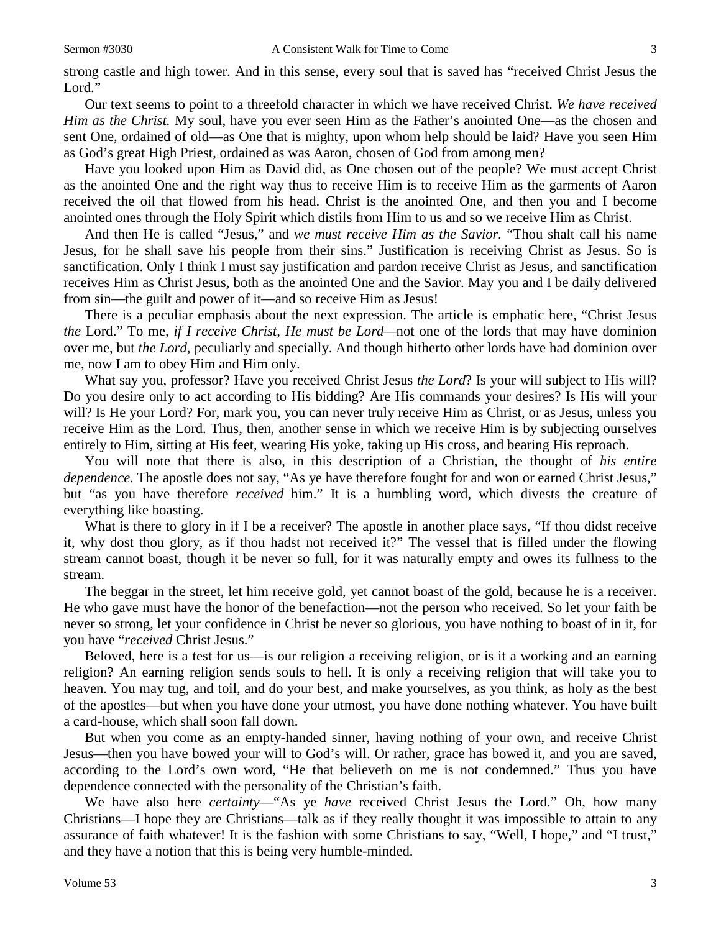strong castle and high tower. And in this sense, every soul that is saved has "received Christ Jesus the Lord."

Our text seems to point to a threefold character in which we have received Christ. *We have received Him as the Christ.* My soul, have you ever seen Him as the Father's anointed One—as the chosen and sent One, ordained of old—as One that is mighty, upon whom help should be laid? Have you seen Him as God's great High Priest, ordained as was Aaron, chosen of God from among men?

Have you looked upon Him as David did, as One chosen out of the people? We must accept Christ as the anointed One and the right way thus to receive Him is to receive Him as the garments of Aaron received the oil that flowed from his head. Christ is the anointed One, and then you and I become anointed ones through the Holy Spirit which distils from Him to us and so we receive Him as Christ.

And then He is called "Jesus," and *we must receive Him as the Savior.* "Thou shalt call his name Jesus, for he shall save his people from their sins." Justification is receiving Christ as Jesus. So is sanctification. Only I think I must say justification and pardon receive Christ as Jesus, and sanctification receives Him as Christ Jesus, both as the anointed One and the Savior. May you and I be daily delivered from sin—the guilt and power of it—and so receive Him as Jesus!

There is a peculiar emphasis about the next expression. The article is emphatic here, "Christ Jesus *the* Lord." To me*, if I receive Christ, He must be Lord—*not one of the lords that may have dominion over me, but *the Lord,* peculiarly and specially. And though hitherto other lords have had dominion over me, now I am to obey Him and Him only.

What say you, professor? Have you received Christ Jesus *the Lord*? Is your will subject to His will? Do you desire only to act according to His bidding? Are His commands your desires? Is His will your will? Is He your Lord? For, mark you, you can never truly receive Him as Christ*,* or as Jesus, unless you receive Him as the Lord. Thus, then, another sense in which we receive Him is by subjecting ourselves entirely to Him, sitting at His feet, wearing His yoke, taking up His cross, and bearing His reproach.

You will note that there is also, in this description of a Christian, the thought of *his entire dependence.* The apostle does not say, "As ye have therefore fought for and won or earned Christ Jesus," but "as you have therefore *received* him." It is a humbling word, which divests the creature of everything like boasting.

What is there to glory in if I be a receiver? The apostle in another place says, "If thou didst receive it, why dost thou glory, as if thou hadst not received it?" The vessel that is filled under the flowing stream cannot boast, though it be never so full, for it was naturally empty and owes its fullness to the stream.

The beggar in the street, let him receive gold, yet cannot boast of the gold, because he is a receiver. He who gave must have the honor of the benefaction—not the person who received. So let your faith be never so strong, let your confidence in Christ be never so glorious, you have nothing to boast of in it, for you have "*received* Christ Jesus."

Beloved, here is a test for us—is our religion a receiving religion, or is it a working and an earning religion? An earning religion sends souls to hell. It is only a receiving religion that will take you to heaven. You may tug, and toil, and do your best, and make yourselves, as you think, as holy as the best of the apostles—but when you have done your utmost, you have done nothing whatever. You have built a card-house, which shall soon fall down.

But when you come as an empty-handed sinner, having nothing of your own, and receive Christ Jesus—then you have bowed your will to God's will. Or rather, grace has bowed it, and you are saved, according to the Lord's own word, "He that believeth on me is not condemned." Thus you have dependence connected with the personality of the Christian's faith.

We have also here *certainty*—"As ye *have* received Christ Jesus the Lord." Oh, how many Christians—I hope they are Christians—talk as if they really thought it was impossible to attain to any assurance of faith whatever! It is the fashion with some Christians to say, "Well, I hope," and "I trust," and they have a notion that this is being very humble-minded.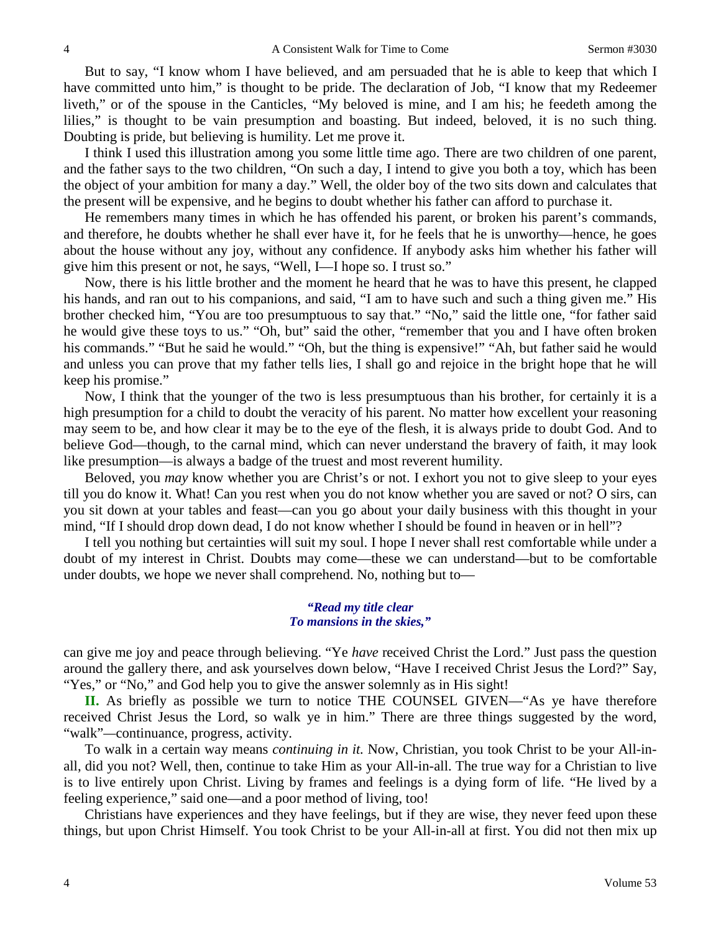But to say, "I know whom I have believed, and am persuaded that he is able to keep that which I have committed unto him," is thought to be pride. The declaration of Job, "I know that my Redeemer liveth," or of the spouse in the Canticles, "My beloved is mine, and I am his; he feedeth among the lilies," is thought to be vain presumption and boasting. But indeed, beloved, it is no such thing. Doubting is pride, but believing is humility. Let me prove it.

I think I used this illustration among you some little time ago. There are two children of one parent, and the father says to the two children, "On such a day, I intend to give you both a toy, which has been the object of your ambition for many a day." Well, the older boy of the two sits down and calculates that the present will be expensive, and he begins to doubt whether his father can afford to purchase it.

He remembers many times in which he has offended his parent, or broken his parent's commands, and therefore, he doubts whether he shall ever have it, for he feels that he is unworthy—hence, he goes about the house without any joy, without any confidence. If anybody asks him whether his father will give him this present or not, he says, "Well, I—I hope so. I trust so."

Now, there is his little brother and the moment he heard that he was to have this present, he clapped his hands, and ran out to his companions, and said, "I am to have such and such a thing given me." His brother checked him, "You are too presumptuous to say that." "No," said the little one, "for father said he would give these toys to us." "Oh, but" said the other, "remember that you and I have often broken his commands." "But he said he would." "Oh, but the thing is expensive!" "Ah, but father said he would and unless you can prove that my father tells lies, I shall go and rejoice in the bright hope that he will keep his promise."

Now, I think that the younger of the two is less presumptuous than his brother, for certainly it is a high presumption for a child to doubt the veracity of his parent. No matter how excellent your reasoning may seem to be, and how clear it may be to the eye of the flesh, it is always pride to doubt God. And to believe God—though, to the carnal mind, which can never understand the bravery of faith, it may look like presumption—is always a badge of the truest and most reverent humility.

Beloved, you *may* know whether you are Christ's or not. I exhort you not to give sleep to your eyes till you do know it. What! Can you rest when you do not know whether you are saved or not? O sirs, can you sit down at your tables and feast—can you go about your daily business with this thought in your mind, "If I should drop down dead, I do not know whether I should be found in heaven or in hell"?

I tell you nothing but certainties will suit my soul. I hope I never shall rest comfortable while under a doubt of my interest in Christ. Doubts may come—these we can understand—but to be comfortable under doubts, we hope we never shall comprehend. No, nothing but to—

> *"Read my title clear To mansions in the skies,"*

can give me joy and peace through believing. "Ye *have* received Christ the Lord." Just pass the question around the gallery there, and ask yourselves down below, "Have I received Christ Jesus the Lord?" Say, "Yes," or "No," and God help you to give the answer solemnly as in His sight!

**II.** As briefly as possible we turn to notice THE COUNSEL GIVEN—"As ye have therefore received Christ Jesus the Lord, so walk ye in him." There are three things suggested by the word, "walk"*—*continuance, progress, activity.

To walk in a certain way means *continuing in it.* Now, Christian, you took Christ to be your All-inall, did you not? Well, then, continue to take Him as your All-in-all. The true way for a Christian to live is to live entirely upon Christ. Living by frames and feelings is a dying form of life. "He lived by a feeling experience," said one—and a poor method of living, too!

Christians have experiences and they have feelings, but if they are wise, they never feed upon these things, but upon Christ Himself. You took Christ to be your All-in-all at first. You did not then mix up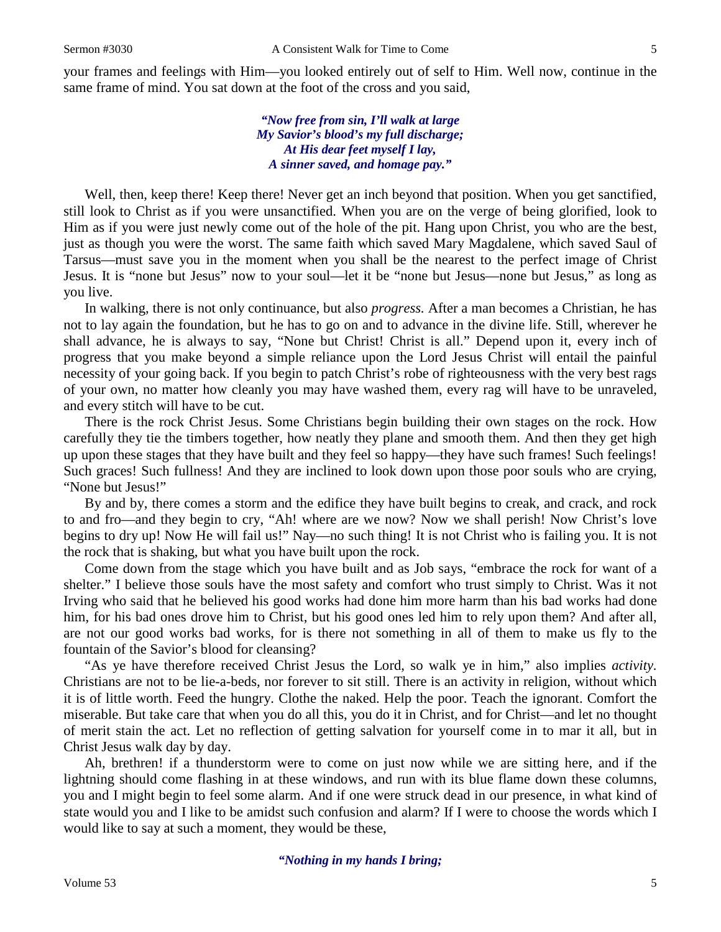your frames and feelings with Him—you looked entirely out of self to Him. Well now, continue in the same frame of mind. You sat down at the foot of the cross and you said,

> *"Now free from sin, I'll walk at large My Savior's blood's my full discharge; At His dear feet myself I lay, A sinner saved, and homage pay."*

Well, then, keep there! Keep there! Never get an inch beyond that position. When you get sanctified, still look to Christ as if you were unsanctified. When you are on the verge of being glorified, look to Him as if you were just newly come out of the hole of the pit. Hang upon Christ, you who are the best, just as though you were the worst. The same faith which saved Mary Magdalene, which saved Saul of Tarsus—must save you in the moment when you shall be the nearest to the perfect image of Christ Jesus. It is "none but Jesus" now to your soul—let it be "none but Jesus—none but Jesus," as long as you live.

In walking, there is not only continuance, but also *progress.* After a man becomes a Christian, he has not to lay again the foundation, but he has to go on and to advance in the divine life. Still, wherever he shall advance, he is always to say, "None but Christ! Christ is all." Depend upon it, every inch of progress that you make beyond a simple reliance upon the Lord Jesus Christ will entail the painful necessity of your going back. If you begin to patch Christ's robe of righteousness with the very best rags of your own, no matter how cleanly you may have washed them, every rag will have to be unraveled, and every stitch will have to be cut.

There is the rock Christ Jesus. Some Christians begin building their own stages on the rock. How carefully they tie the timbers together, how neatly they plane and smooth them. And then they get high up upon these stages that they have built and they feel so happy—they have such frames! Such feelings! Such graces! Such fullness! And they are inclined to look down upon those poor souls who are crying, "None but Jesus!"

By and by, there comes a storm and the edifice they have built begins to creak, and crack, and rock to and fro—and they begin to cry, "Ah! where are we now? Now we shall perish! Now Christ's love begins to dry up! Now He will fail us!" Nay—no such thing! It is not Christ who is failing you. It is not the rock that is shaking, but what you have built upon the rock.

Come down from the stage which you have built and as Job says, "embrace the rock for want of a shelter." I believe those souls have the most safety and comfort who trust simply to Christ. Was it not Irving who said that he believed his good works had done him more harm than his bad works had done him, for his bad ones drove him to Christ, but his good ones led him to rely upon them? And after all, are not our good works bad works, for is there not something in all of them to make us fly to the fountain of the Savior's blood for cleansing?

"As ye have therefore received Christ Jesus the Lord, so walk ye in him," also implies *activity.*  Christians are not to be lie-a-beds, nor forever to sit still. There is an activity in religion, without which it is of little worth. Feed the hungry. Clothe the naked. Help the poor. Teach the ignorant. Comfort the miserable. But take care that when you do all this, you do it in Christ, and for Christ—and let no thought of merit stain the act. Let no reflection of getting salvation for yourself come in to mar it all, but in Christ Jesus walk day by day.

Ah, brethren! if a thunderstorm were to come on just now while we are sitting here, and if the lightning should come flashing in at these windows, and run with its blue flame down these columns, you and I might begin to feel some alarm. And if one were struck dead in our presence, in what kind of state would you and I like to be amidst such confusion and alarm? If I were to choose the words which I would like to say at such a moment, they would be these,

*"Nothing in my hands I bring;*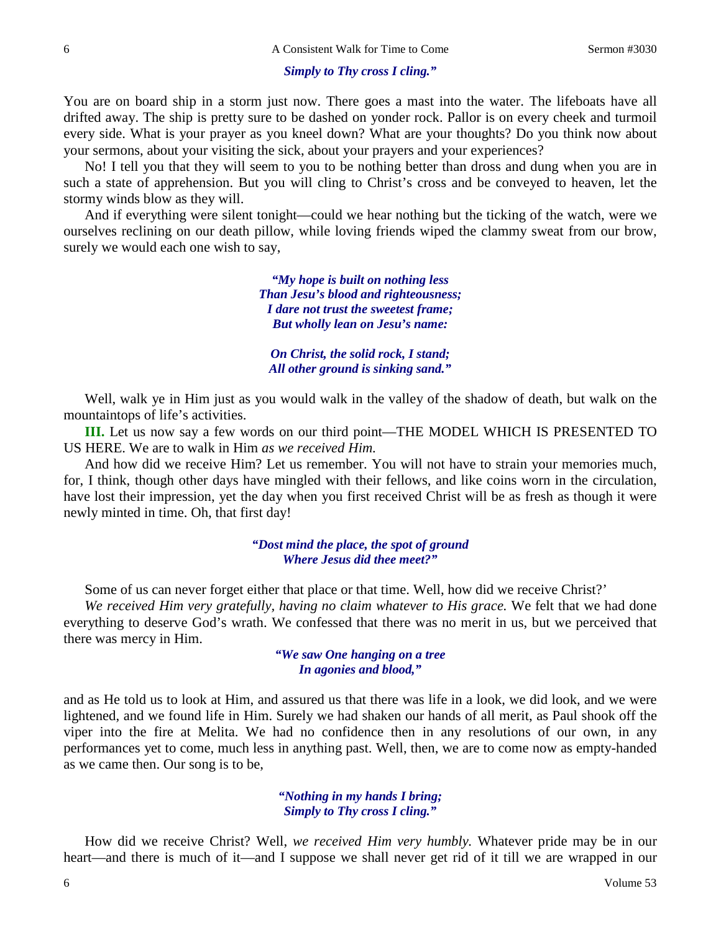#### *Simply to Thy cross I cling."*

You are on board ship in a storm just now. There goes a mast into the water. The lifeboats have all drifted away. The ship is pretty sure to be dashed on yonder rock. Pallor is on every cheek and turmoil every side. What is your prayer as you kneel down? What are your thoughts? Do you think now about your sermons, about your visiting the sick, about your prayers and your experiences?

No! I tell you that they will seem to you to be nothing better than dross and dung when you are in such a state of apprehension. But you will cling to Christ's cross and be conveyed to heaven, let the stormy winds blow as they will.

And if everything were silent tonight—could we hear nothing but the ticking of the watch, were we ourselves reclining on our death pillow, while loving friends wiped the clammy sweat from our brow, surely we would each one wish to say,

> *"My hope is built on nothing less Than Jesu's blood and righteousness; I dare not trust the sweetest frame; But wholly lean on Jesu's name:*

*On Christ, the solid rock, I stand; All other ground is sinking sand."*

Well, walk ye in Him just as you would walk in the valley of the shadow of death, but walk on the mountaintops of life's activities.

**III.** Let us now say a few words on our third point—THE MODEL WHICH IS PRESENTED TO US HERE. We are to walk in Him *as we received Him.*

And how did we receive Him? Let us remember. You will not have to strain your memories much, for, I think, though other days have mingled with their fellows, and like coins worn in the circulation, have lost their impression, yet the day when you first received Christ will be as fresh as though it were newly minted in time. Oh, that first day!

#### *"Dost mind the place, the spot of ground Where Jesus did thee meet?"*

Some of us can never forget either that place or that time. Well, how did we receive Christ?'

*We received Him very gratefully, having no claim whatever to His grace.* We felt that we had done everything to deserve God's wrath. We confessed that there was no merit in us, but we perceived that there was mercy in Him.

> *"We saw One hanging on a tree In agonies and blood,"*

and as He told us to look at Him, and assured us that there was life in a look, we did look, and we were lightened, and we found life in Him. Surely we had shaken our hands of all merit, as Paul shook off the viper into the fire at Melita. We had no confidence then in any resolutions of our own, in any performances yet to come, much less in anything past. Well, then, we are to come now as empty-handed as we came then. Our song is to be,

## *"Nothing in my hands I bring; Simply to Thy cross I cling."*

How did we receive Christ? Well, *we received Him very humbly.* Whatever pride may be in our heart—and there is much of it—and I suppose we shall never get rid of it till we are wrapped in our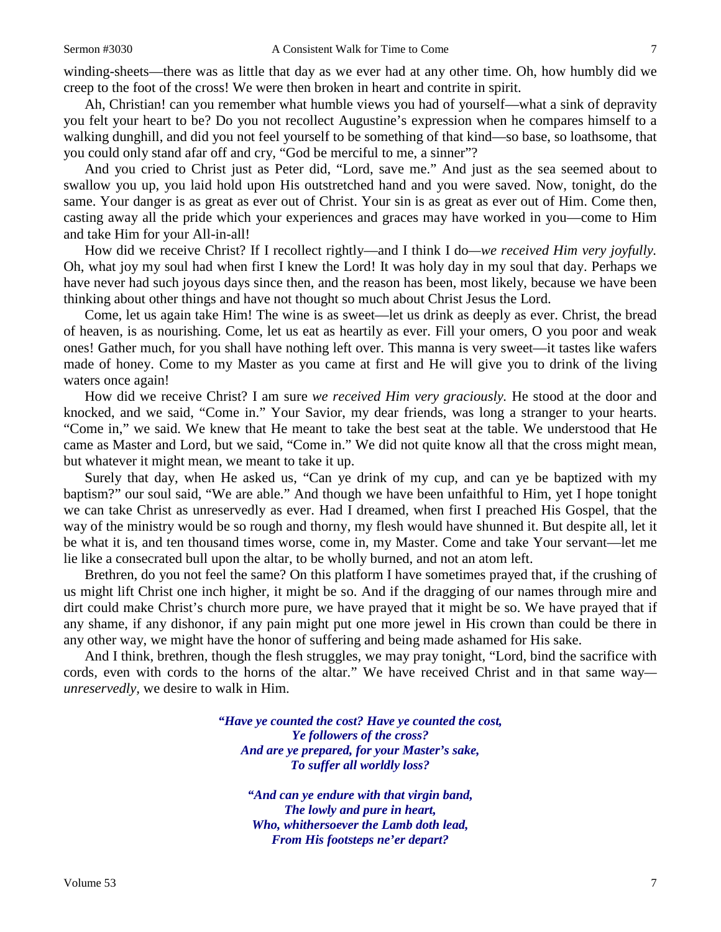winding-sheets—there was as little that day as we ever had at any other time. Oh, how humbly did we creep to the foot of the cross! We were then broken in heart and contrite in spirit.

Ah, Christian! can you remember what humble views you had of yourself—what a sink of depravity you felt your heart to be? Do you not recollect Augustine's expression when he compares himself to a walking dunghill, and did you not feel yourself to be something of that kind—so base, so loathsome, that you could only stand afar off and cry*,* "God be merciful to me, a sinner"?

And you cried to Christ just as Peter did, "Lord, save me." And just as the sea seemed about to swallow you up, you laid hold upon His outstretched hand and you were saved. Now, tonight, do the same. Your danger is as great as ever out of Christ. Your sin is as great as ever out of Him. Come then, casting away all the pride which your experiences and graces may have worked in you—come to Him and take Him for your All-in-all!

How did we receive Christ? If I recollect rightly—and I think I do*—we received Him very joyfully.*  Oh, what joy my soul had when first I knew the Lord! It was holy day in my soul that day. Perhaps we have never had such joyous days since then, and the reason has been, most likely, because we have been thinking about other things and have not thought so much about Christ Jesus the Lord.

Come, let us again take Him! The wine is as sweet—let us drink as deeply as ever. Christ, the bread of heaven, is as nourishing. Come, let us eat as heartily as ever. Fill your omers, O you poor and weak ones! Gather much, for you shall have nothing left over. This manna is very sweet—it tastes like wafers made of honey. Come to my Master as you came at first and He will give you to drink of the living waters once again!

How did we receive Christ? I am sure *we received Him very graciously.* He stood at the door and knocked, and we said, "Come in." Your Savior, my dear friends, was long a stranger to your hearts. "Come in," we said. We knew that He meant to take the best seat at the table. We understood that He came as Master and Lord, but we said, "Come in." We did not quite know all that the cross might mean, but whatever it might mean, we meant to take it up.

Surely that day, when He asked us, "Can ye drink of my cup, and can ye be baptized with my baptism?" our soul said, "We are able." And though we have been unfaithful to Him, yet I hope tonight we can take Christ as unreservedly as ever. Had I dreamed, when first I preached His Gospel, that the way of the ministry would be so rough and thorny, my flesh would have shunned it. But despite all, let it be what it is, and ten thousand times worse, come in, my Master. Come and take Your servant—let me lie like a consecrated bull upon the altar, to be wholly burned, and not an atom left.

Brethren, do you not feel the same? On this platform I have sometimes prayed that, if the crushing of us might lift Christ one inch higher, it might be so. And if the dragging of our names through mire and dirt could make Christ's church more pure, we have prayed that it might be so. We have prayed that if any shame, if any dishonor, if any pain might put one more jewel in His crown than could be there in any other way, we might have the honor of suffering and being made ashamed for His sake.

And I think, brethren, though the flesh struggles, we may pray tonight, "Lord, bind the sacrifice with cords*,* even with cords to the horns of the altar." We have received Christ and in that same way *unreservedly,* we desire to walk in Him.

> *"Have ye counted the cost? Have ye counted the cost, Ye followers of the cross? And are ye prepared, for your Master's sake, To suffer all worldly loss?*

> > *"And can ye endure with that virgin band, The lowly and pure in heart, Who, whithersoever the Lamb doth lead, From His footsteps ne'er depart?*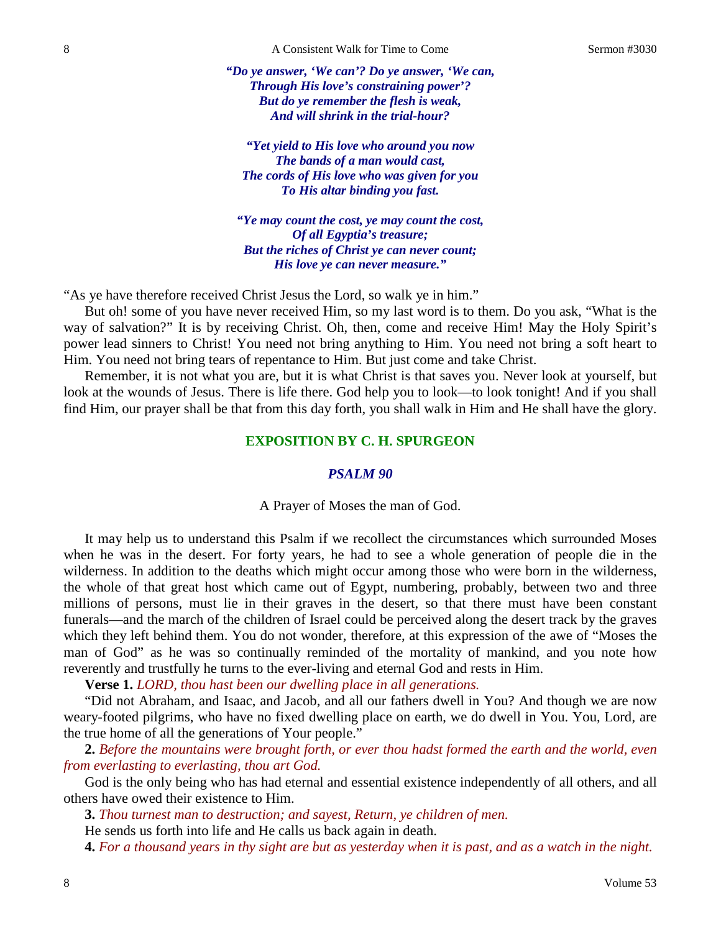*"Do ye answer, 'We can'? Do ye answer, 'We can, Through His love's constraining power'? But do ye remember the flesh is weak, And will shrink in the trial-hour?*

*"Yet yield to His love who around you now The bands of a man would cast, The cords of His love who was given for you To His altar binding you fast.*

*"Ye may count the cost, ye may count the cost, Of all Egyptia's treasure; But the riches of Christ ye can never count; His love ye can never measure."*

"As ye have therefore received Christ Jesus the Lord, so walk ye in him."

But oh! some of you have never received Him, so my last word is to them. Do you ask, "What is the way of salvation?" It is by receiving Christ. Oh, then, come and receive Him! May the Holy Spirit's power lead sinners to Christ! You need not bring anything to Him. You need not bring a soft heart to Him. You need not bring tears of repentance to Him. But just come and take Christ.

Remember, it is not what you are, but it is what Christ is that saves you. Never look at yourself, but look at the wounds of Jesus. There is life there. God help you to look—to look tonight! And if you shall find Him, our prayer shall be that from this day forth, you shall walk in Him and He shall have the glory.

## **EXPOSITION BY C. H. SPURGEON**

## *PSALM 90*

A Prayer of Moses the man of God.

It may help us to understand this Psalm if we recollect the circumstances which surrounded Moses when he was in the desert. For forty years, he had to see a whole generation of people die in the wilderness. In addition to the deaths which might occur among those who were born in the wilderness, the whole of that great host which came out of Egypt, numbering, probably, between two and three millions of persons, must lie in their graves in the desert, so that there must have been constant funerals—and the march of the children of Israel could be perceived along the desert track by the graves which they left behind them. You do not wonder, therefore, at this expression of the awe of "Moses the man of God" as he was so continually reminded of the mortality of mankind, and you note how reverently and trustfully he turns to the ever-living and eternal God and rests in Him.

**Verse 1.** *LORD, thou hast been our dwelling place in all generations.*

"Did not Abraham, and Isaac, and Jacob, and all our fathers dwell in You? And though we are now weary-footed pilgrims, who have no fixed dwelling place on earth, we do dwell in You. You, Lord, are the true home of all the generations of Your people."

**2.** *Before the mountains were brought forth, or ever thou hadst formed the earth and the world, even from everlasting to everlasting, thou art God.*

God is the only being who has had eternal and essential existence independently of all others, and all others have owed their existence to Him.

**3.** *Thou turnest man to destruction; and sayest, Return, ye children of men.*

He sends us forth into life and He calls us back again in death.

**4.** *For a thousand years in thy sight are but as yesterday when it is past, and as a watch in the night.*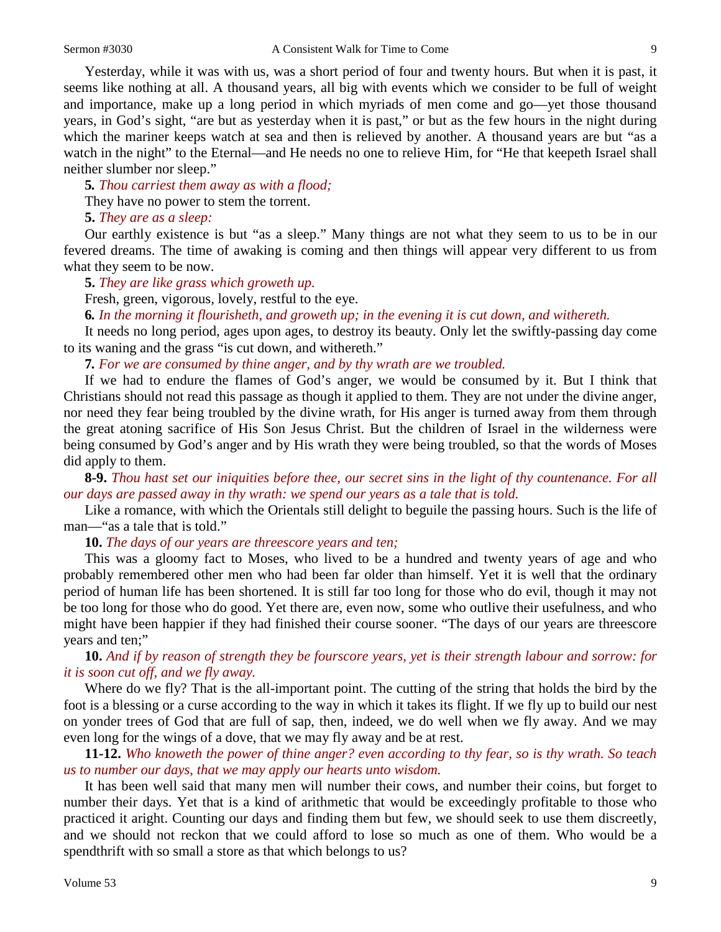Yesterday, while it was with us, was a short period of four and twenty hours. But when it is past, it seems like nothing at all. A thousand years, all big with events which we consider to be full of weight and importance, make up a long period in which myriads of men come and go—yet those thousand years, in God's sight, "are but as yesterday when it is past," or but as the few hours in the night during which the mariner keeps watch at sea and then is relieved by another. A thousand years are but "as a watch in the night" to the Eternal—and He needs no one to relieve Him, for "He that keepeth Israel shall neither slumber nor sleep."

**5***. Thou carriest them away as with a flood;*

They have no power to stem the torrent.

**5.** *They are as a sleep:*

Our earthly existence is but "as a sleep." Many things are not what they seem to us to be in our fevered dreams. The time of awaking is coming and then things will appear very different to us from what they seem to be now.

**5.** *They are like grass which groweth up.*

Fresh, green, vigorous, lovely, restful to the eye.

**6***. In the morning it flourisheth, and groweth up; in the evening it is cut down, and withereth.*

It needs no long period, ages upon ages, to destroy its beauty. Only let the swiftly-passing day come to its waning and the grass "is cut down, and withereth."

**7***. For we are consumed by thine anger, and by thy wrath are we troubled.*

If we had to endure the flames of God's anger, we would be consumed by it. But I think that Christians should not read this passage as though it applied to them. They are not under the divine anger, nor need they fear being troubled by the divine wrath, for His anger is turned away from them through the great atoning sacrifice of His Son Jesus Christ. But the children of Israel in the wilderness were being consumed by God's anger and by His wrath they were being troubled, so that the words of Moses did apply to them.

**8-9.** *Thou hast set our iniquities before thee, our secret sins in the light of thy countenance. For all our days are passed away in thy wrath: we spend our years as a tale that is told.*

Like a romance, with which the Orientals still delight to beguile the passing hours. Such is the life of man—"as a tale that is told."

**10.** *The days of our years are threescore years and ten;*

This was a gloomy fact to Moses, who lived to be a hundred and twenty years of age and who probably remembered other men who had been far older than himself. Yet it is well that the ordinary period of human life has been shortened. It is still far too long for those who do evil, though it may not be too long for those who do good. Yet there are, even now, some who outlive their usefulness, and who might have been happier if they had finished their course sooner. "The days of our years are threescore years and ten;"

**10.** *And if by reason of strength they be fourscore years, yet is their strength labour and sorrow: for it is soon cut off, and we fly away.*

Where do we fly? That is the all-important point. The cutting of the string that holds the bird by the foot is a blessing or a curse according to the way in which it takes its flight. If we fly up to build our nest on yonder trees of God that are full of sap, then, indeed, we do well when we fly away. And we may even long for the wings of a dove, that we may fly away and be at rest.

**11-12.** *Who knoweth the power of thine anger? even according to thy fear, so is thy wrath. So teach us to number our days, that we may apply our hearts unto wisdom.*

It has been well said that many men will number their cows, and number their coins, but forget to number their days. Yet that is a kind of arithmetic that would be exceedingly profitable to those who practiced it aright. Counting our days and finding them but few, we should seek to use them discreetly, and we should not reckon that we could afford to lose so much as one of them. Who would be a spendthrift with so small a store as that which belongs to us?